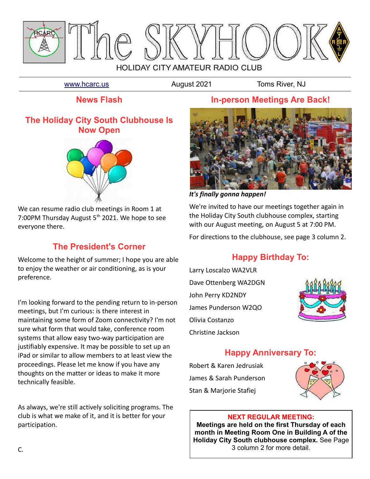

#### [www.hcarc.us](http://www.hcarc.us/) **August 2021** Toms River, NJ

**News Flash**

### **The Holiday City South Clubhouse Is Now Open**



We can resume radio club meetings in Room 1 at 7:00PM Thursday August 5<sup>th</sup> 2021. We hope to see everyone there.

## **The President's Corner**

Welcome to the height of summer; I hope you are able to enjoy the weather or air conditioning, as is your preference.

I'm looking forward to the pending return to in-person meetings, but I'm curious: is there interest in maintaining some form of Zoom connectivity? I'm not sure what form that would take, conference room systems that allow easy two-way participation are justifiably expensive. It may be possible to set up an iPad or similar to allow members to at least view the proceedings. Please let me know if you have any thoughts on the matter or ideas to make it more technically feasible.

As always, we're still actively soliciting programs. The club is what we make of it, and it is better for your participation.

### **In-person Meetings Are Back!**



*It's finally gonna happen!*

We're invited to have our meetings together again in the Holiday City South clubhouse complex, starting with our August meeting, on August 5 at 7:00 PM.

For directions to the clubhouse, see page 3 column 2.

# **Happy Birthday To:**

Larry Loscalzo WA2VLR Dave Ottenberg WA2DGN John Perry KD2NDY James Punderson W2QO Olivia Costanzo Christine Jackson



## **Happy Anniversary To:**

Robert & Karen Jedrusiak James & Sarah Punderson Stan & Marjorie Stafiej



#### **NEXT REGULAR MEETING:**

**Meetings are held on the first Thursday of each month in Meeting Room One in Building A of the Holiday City South clubhouse complex.** See Page 3 column 2 for more detail.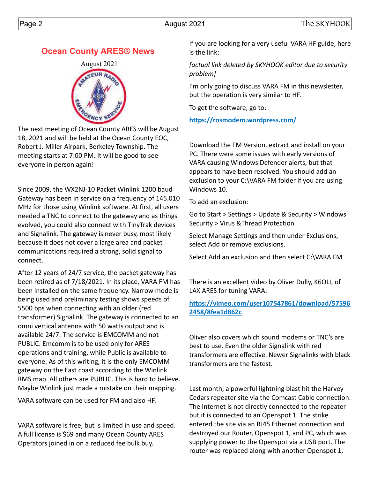### **Ocean County ARES® News**



The next meeting of Ocean County ARES will be August 18, 2021 and will be held at the Ocean County EOC, Robert J. Miller Airpark, Berkeley Township. The meeting starts at 7:00 PM. It will be good to see everyone in person again!

Since 2009, the WX2NJ-10 Packet Winlink 1200 baud Gateway has been in service on a frequency of 145.010 MHz for those using Winlink software. At first, all users needed a TNC to connect to the gateway and as things evolved, you could also connect with TinyTrak devices and Signalink. The gateway is never busy, most likely because it does not cover a large area and packet communications required a strong, solid signal to connect.

After 12 years of 24/7 service, the packet gateway has been retired as of 7/18/2021. In its place, VARA FM has been installed on the same frequency. Narrow mode is being used and preliminary testing shows speeds of 5500 bps when connecting with an older (red transformer) Signalink. The gateway is connected to an omni vertical antenna with 50 watts output and is available 24/7. The service is EMCOMM and not PUBLIC. Emcomm is to be used only for ARES operations and training, while Public is available to everyone. As of this writing, it is the only EMCOMM gateway on the East coast according to the Winlink RMS map. All others are PUBLIC. This is hard to believe. Maybe Winlink just made a mistake on their mapping.

VARA software can be used for FM and also HF.

VARA software is free, but is limited in use and speed. A full license is \$69 and many Ocean County ARES Operators joined in on a reduced fee bulk buy.

If you are looking for a very useful VARA HF guide, here is the link:

*[actual link deleted by SKYHOOK editor due to security problem]*

I'm only going to discuss VARA FM in this newsletter, but the operation is very similar to HF.

To get the software, go to:

**<https://rosmodem.wordpress.com/>**

Download the FM Version, extract and install on your PC. There were some issues with early versions of VARA causing Windows Defender alerts, but that appears to have been resolved. You should add an exclusion to your C:\VARA FM folder if you are using Windows 10.

To add an exclusion:

Go to Start > Settings > Update & Security > Windows Security > Virus &Thread Protection

Select Manage Settings and then under Exclusions, select Add or remove exclusions.

Select Add an exclusion and then select C:\VARA FM

There is an excellent video by Oliver Dully, K6OLI, of LAX ARES for tuning VARA:

#### **[https://vimeo.com/user107547861/download/57596](https://vimeo.com/user107547861/download/575962458/8fea1d862c) [2458/8fea1d862c](https://vimeo.com/user107547861/download/575962458/8fea1d862c)**

Oliver also covers which sound modems or TNC's are best to use. Even the older Signalink with red transformers are effective. Newer Signalinks with black transformers are the fastest.

Last month, a powerful lightning blast hit the Harvey Cedars repeater site via the Comcast Cable connection. The Internet is not directly connected to the repeater but it is connected to an Openspot 1. The strike entered the site via an RJ45 Ethernet connection and destroyed our Router, Openspot 1, and PC, which was supplying power to the Openspot via a USB port. The router was replaced along with another Openspot 1,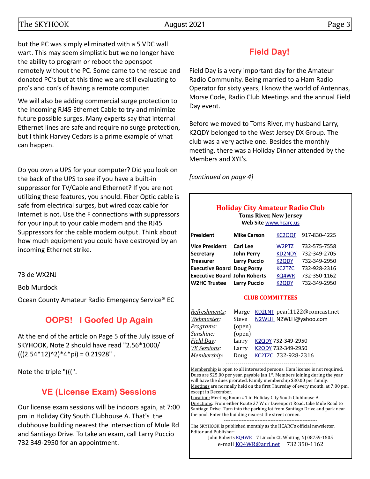## The SKYHOOK **Page 3**

but the PC was simply eliminated with a 5 VDC wall wart. This may seem simplistic but we no longer have the ability to program or reboot the openspot remotely without the PC. Some came to the rescue and donated PC's but at this time we are still evaluating to pro's and con's of having a remote computer.

We will also be adding commercial surge protection to the incoming RJ45 Ethernet Cable to try and minimize future possible surges. Many experts say that internal Ethernet lines are safe and require no surge protection, but I think Harvey Cedars is a prime example of what can happen.

Do you own a UPS for your computer? Did you look on the back of the UPS to see if you have a built-in suppressor for TV/Cable and Ethernet? If you are not utilizing these features, you should. Fiber Optic cable is safe from electrical surges, but wired coax cable for Internet is not. Use the F connections with suppressors for your input to your cable modem and the RJ45 Suppressors for the cable modem output. Think about how much equipment you could have destroyed by an incoming Ethernet strike.

73 de WX2NJ

Bob Murdock

Ocean County Amateur Radio Emergency Service® EC

# **OOPS! I Goofed Up Again**

At the end of the article on Page 5 of the July issue of SKYHOOK, Note 2 should have read "2.56\*1000/  $(((2.54*12)^{2})*4*pi) = 0.21928"$ .

Note the triple "(((".

# **VE (License Exam) Sessions**

Our license exam sessions will be indoors again, at 7:00 pm in Holiday City South Clubhouse A. That's the clubhouse building nearest the intersection of Mule Rd and Santiago Drive. To take an exam, call Larry Puccio 732 349-2950 for an appointment.

# **Field Day!**

Field Day is a very important day for the Amateur Radio Community. Being married to a Ham Radio Operator for sixty years, I know the world of Antennas, Morse Code, Radio Club Meetings and the annual Field Day event.

Before we moved to Toms River, my husband Larry, K2QDY belonged to the West Jersey DX Group. The club was a very active one. Besides the monthly meeting, there was a Holiday Dinner attended by the Members and XYL's.

*[continued on page 4]*

### **Holiday City Amateur Radio Club**

**Toms River, New Jersey Web Site** [www.hcarc.us](http://www.hcarc.us/)

| President                           | <b>Mike Carson</b>  | KC2OQF        | 917-830-4225 |
|-------------------------------------|---------------------|---------------|--------------|
| <b>Vice President</b>               | <b>Carl Lee</b>     | W2PTZ         | 732-575-7558 |
| <b>Secretary</b>                    | <b>John Perry</b>   | <b>KD2NDY</b> | 732-349-2705 |
| <b>Treasurer</b>                    | <b>Larry Puccio</b> | <b>K2QDY</b>  | 732-349-2950 |
| <b>Executive Board Doug Poray</b>   |                     | <b>KC2TZC</b> | 732-928-2316 |
| <b>Executive Board John Roberts</b> |                     | KQ4WR         | 732-350-1162 |
| <b>W2HC Trustee</b>                 | <b>Larry Puccio</b> | <b>K2QDY</b>  | 732-349-2950 |

#### **CLUB COMMITTEES**

| Refreshments:       | Marge  | KD2LNT pearl1122@comcast.net |
|---------------------|--------|------------------------------|
| Webmaster:          | Steve  | N2WLH_N2WLH@yahoo.com        |
| Programs:           | (open) |                              |
| Sunshine:           | (open) |                              |
| Field Day:          | Larry  | K2QDY 732-349-2950           |
| <b>VE Sessions:</b> | Larry  | K2QDY 732-349-2950           |
| Membership:         | Doug   | KC2TZC 732-928-2316          |
|                     |        |                              |

Membership is open to all interested persons. Ham license is not required. Dues are \$25.00 per year, payable Jan  $1<sup>st</sup>$ . Members joining during the year will have the dues prorated. Family membership \$30.00 per family. Meetings are normally held on the first Thursday of every month, at 7:00 pm, except in December.

Location: Meeting Room #1 in Holiday City South Clubhouse A. Directions: From either Route 37 W or Davenport Road, take Mule Road to Santiago Drive. Turn into the parking lot from Santiago Drive and park near the pool. Enter the building nearest the street corner.. ----------------------------------------------------------

The SKYHOOK is published monthly as the HCARC's official newsletter. Editor and Publisher:

John Roberts [KQ4WR](mailto:kq4wr@arrl.net) 7 Lincoln Ct. Whiting, NJ 08759-1505 e-mail [KQ4WR@arrl.net](mailto:KQ4WR@arrl.net) 732 350-1162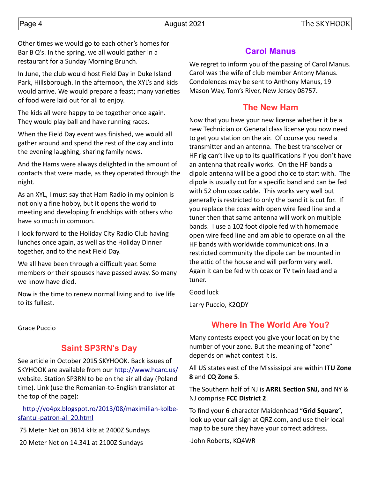Other times we would go to each other's homes for Bar B Q's. In the spring, we all would gather in a restaurant for a Sunday Morning Brunch.

In June, the club would host Field Day in Duke Island Park, Hillsborough. In the afternoon, the XYL's and kids would arrive. We would prepare a feast; many varieties of food were laid out for all to enjoy.

The kids all were happy to be together once again. They would play ball and have running races.

When the Field Day event was finished, we would all gather around and spend the rest of the day and into the evening laughing, sharing family news.

And the Hams were always delighted in the amount of contacts that were made, as they operated through the night.

As an XYL, I must say that Ham Radio in my opinion is not only a fine hobby, but it opens the world to meeting and developing friendships with others who have so much in common.

I look forward to the Holiday City Radio Club having lunches once again, as well as the Holiday Dinner together, and to the next Field Day.

We all have been through a difficult year. Some members or their spouses have passed away. So many we know have died.

Now is the time to renew normal living and to live life to its fullest.

Grace Puccio

#### **Saint SP3RN's Day**

See article in October 2015 SKYHOOK. Back issues of SKYHOOK are available from our<http://www.hcarc.us/> website. Station SP3RN to be on the air all day (Poland time). Link (use the Romanian-to-English translator at the top of the page):

 [http://yo4px.blogspot.ro/2013/08/maximilian-kolbe](http://yo4px.blogspot.ro/2013/08/maximilian-kolbe-sfantul-patron-al_20.html)[sfantul-patron-al\\_20.html](http://yo4px.blogspot.ro/2013/08/maximilian-kolbe-sfantul-patron-al_20.html)

75 Meter Net on 3814 kHz at 2400Z Sundays

20 Meter Net on 14.341 at 2100Z Sundays

### **Carol Manus**

We regret to inform you of the passing of Carol Manus. Carol was the wife of club member Antony Manus. Condolences may be sent to Anthony Manus, 19 Mason Way, Tom's River, New Jersey 08757.

### **The New Ham**

Now that you have your new license whether it be a new Technician or General class license you now need to get you station on the air. Of course you need a transmitter and an antenna. The best transceiver or HF rig can't live up to its qualifications if you don't have an antenna that really works. On the HF bands a dipole antenna will be a good choice to start with. The dipole is usually cut for a specific band and can be fed with 52 ohm coax cable. This works very well but generally is restricted to only the band it is cut for. If you replace the coax with open wire feed line and a tuner then that same antenna will work on multiple bands. I use a 102 foot dipole fed with homemade open wire feed line and am able to operate on all the HF bands with worldwide communications. In a restricted community the dipole can be mounted in the attic of the house and will perform very well. Again it can be fed with coax or TV twin lead and a tuner.

Good luck

Larry Puccio, K2QDY

## **Where In The World Are You?**

Many contests expect you give your location by the number of your zone. But the meaning of "zone" depends on what contest it is.

All US states east of the Mississippi are within **ITU Zone 8** and **CQ Zone 5**.

The Southern half of NJ is **ARRL Section SNJ,** and NY & NJ comprise **FCC District 2**.

To find your 6-character Maidenhead "**Grid Square**", look up your call sign at QRZ.com, and use their local map to be sure they have your correct address.

-John Roberts, KQ4WR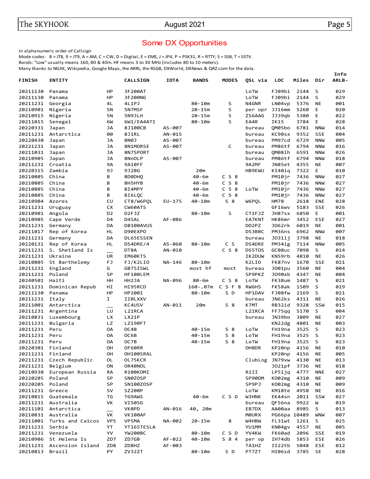#### Some DX Opportunities

In alphanumeric order of Callsign

Mode codes:  $8 = JTS$ ,  $9 = JTS$ ,  $A = AM$ ,  $C = CW$ ,  $D = Digital$ ,  $E = EME$ ,  $J = JPA$ ,  $P = PSK31$ ,  $R = RTTY$ ,  $S = SSB$ ,  $T = SSTV$ .

Bands: "Low" usually means 160, 80 & 40m. HF means 3 to 30 MHz (includes 80 to 10 meters).

Many thanks to NG3K, Wikipedia, Google Maps, the ARRL, the RSGB, DXWorld, DXNews & QRZ.com for the data.

|                  |                           |                |                  |             |              |                |               |              |       |            | Info         |
|------------------|---------------------------|----------------|------------------|-------------|--------------|----------------|---------------|--------------|-------|------------|--------------|
| <b>FINISH</b>    | <b>ENTITY</b>             |                | <b>CALLSIGN</b>  | <b>IOTA</b> | <b>BANDS</b> | <b>MODES</b>   | QSL via       | <b>LOC</b>   | Miles | Dir        | <b>ARLB-</b> |
| 20211130         | Panama                    | HP             | 3F200AT          |             |              |                | LoTW          | FJ09bi       | 2144  | S          | 029          |
| 20211130         | Panama                    | HP             | 3F200NG          |             |              |                | LoTW          | FJ09bi       | 2144  | S          | 029          |
| 20211231         | Georgia                   | 4L             | 4L1PJ            |             | $80 - 10m$   | S              | N4GNR         | LN04vp       | 5376  | <b>NE</b>  | 001          |
| 20210901         | Nigeria                   | 5N             | 5N7MSF           |             | $20 - 15m$   | S              | per opr       | JJ16mm       | 5260  | Е          | 020          |
| 20210915         | Nigeria                   | 5N             | 5N9JLH           |             | $20 - 15m$   | S              | ZS6AAG        | JJ39qb       | 5380  | E          | 022          |
| 20211015         | Senegal                   | 6W             | 6W1/EA4ATI       |             | 80-10m       | S              | EA4R          | IK15         | 3784  | E          | 028          |
| 20220331         | Japan                     | JА             | 8J100CB          | AS-007      |              |                | bureau        | QM05bo       | 6781  | <b>NNW</b> | 014          |
|                  | 20211231 Antarctica       | 00             | 8J1RL            | AN-015      |              |                | bureau        | KC90sx       | 9352  | <b>SSE</b> | 004          |
| 20220430         | Japan                     | JА             | 8N0J             | AS-007      |              |                | bureau        | PM97cd       | 6729  | <b>NNW</b> | 005          |
| 20221231         | Japan                     | JА             | 8N1MORSE         | AS-007      |              | C              | bureau        | PM86tf       | 6794  | <b>NNW</b> | 016          |
| 20211031         | Japan                     | <b>JA</b>      | 8N7SPORT         |             |              |                | bureau        | QM081h       | 6591  | <b>NNW</b> | 026          |
| 20210905         | Japan                     | JА             | 8NnOLP           | AS-007      |              |                | bureau        | PM86tf       | 6794  | <b>NNW</b> | 018          |
| 20211231 Croatia |                           | 9Α             | 9A10FF           |             |              |                | 9A2MF         | JN85et       | 4355  | <b>NE</b>  | 007          |
| 20220315         | Zambia                    | 9J             | 9J2BG            |             | 20m          |                | <b>HB9EWU</b> | KI40iq       | 7322  | Е          | 010          |
| 20210805         | China                     | в              | <b>BDØDHQ</b>    |             | $40 - 6m$    | $C$ S $8$      |               | PM10jr       | 7436  | <b>NNW</b> | 027          |
| 20210805         | China                     | В              | BH5HYB           |             | 40-6m        | C S 8          |               | PM10jr       | 7436  | <b>NNW</b> | 027          |
| 20210805         | China                     | В              | BI4MPY           |             | 40-6m        | C S 8          | LoTW          | PM10jr       | 7436  | <b>NNW</b> | 027          |
| 20210805         | China                     | B              | BI6LQC           |             | $40 - 6m$    | $C$ S $8$      |               | PM10jr       | 7436  | <b>NNW</b> | 027          |
| 20210904         | Azores                    | CU             | CT8/W6PQL        | $EU-175$    | 40-10m       | $S_8$          | W6PQL         | <b>HM78</b>  | 2618  | <b>ENE</b> | 028          |
| 20211231         | Uruguay                   | СX             | CW60ATS          |             |              |                |               | GF16wv       | 5183  | <b>SSE</b> | 026          |
| 20210901         | Angola                    | D <sub>2</sub> | D2FJZ            |             | $80 - 10m$   | S              | CT1FJZ        | JH87sx       | 6850  | Е          | 001          |
| 20210905         | Cape Verde                | D4             | D4SAL            | AF-086      |              |                | EA7KNT        | HK86mr       | 3452  | <b>ESE</b> | 027          |
| 20211231 Germany |                           | DA             | <b>D8100AVUS</b> |             |              |                | DO2PZ         | J062rk       | 6019  | <b>NE</b>  | 001          |
| 20211017         | Rep of Korea              | HL             | D90EXPO          |             |              |                | DS3BBC        | PM36ns       | 6962  | <b>NNW</b> | 007          |
| 20211231         | Germany                   | DA             | DL65ESSEN        |             |              |                | bureau        | J0311j       | 3798  | <b>NE</b>  | 018          |
| 20220131         | Rep of Korea              | HL             | DS4DRE/4         | AS-060      | $80 - 10m$   | C S            | DS4DRE        | PM34ig       | 7114  | <b>NNW</b> | 005          |
| 20211231         | S. Shetland Is            |                | DT8A             | AN-010      |              | $C$ S $8$      | DS5T0S        | GC08uc       | 7098  | S          | 014          |
| 20211231         | Ukraine                   | UR             | EM60KTS          |             |              |                | IK2DUW        | KN59rb       | 4810  | <b>NE</b>  | 026          |
| 20210805         | St Barthelemy             | FJ             | FJ/K2LIO         | NA-146      | $80 - 10m$   |                | K2LIO         | FK87nv       | 1670  | <b>SSE</b> | 021          |
| 20211231         | England                   | G              | GB75ISWL         |             | most hf      | most           | bureau        | J001pu       | 3560  | <b>NE</b>  | 004          |
| 20211231         | Poland                    | SP             | HF100LEM         |             |              |                | SP9PKZ        | J090xb       | 4347  | <b>NE</b>  | 004          |
| 20240501         | Haiti                     | HH             | HH2JA            | NA-096      | $80 - 6m$    | $C$ S $8$      | LoTW          | FK38um       | 1487  | S          | 021          |
| 20211231         | Dominican Repub           | НI             | HI95RCD          |             | $160 - .07m$ | C S F 8        | <b>RW6HS</b>  | FK58ak       | 1509  | S          | 029          |
| 20211130         | Panama                    | HP             | HP200I           |             | $80 - 10m$   | S D            | HP1DAV        | FJ08fw       | 2169  | S          | 021          |
| 20211231         | Italy                     | I.             | II0LXXV          |             |              |                | bureau        | JN62ks       | 4311  | <b>NE</b>  | 026          |
| 20211001         | Antarctica                |                | KC4USV           | AN-011      | 20m          | $S_8$          | K7MT          | RB32id       | 9328  | SSW        | 015          |
| 20211231         | Argentina                 | LU             | L21RCA           |             |              |                | L21RCA        | FF75qq       | 5170  | S          | 004          |
| 20210831         | Luxembourg                | LХ             | LX21P            |             |              |                | bureau        | JN39bo       | 3809  | <b>NE</b>  | 027          |
| 20211231         | Bulgaria                  | LZ             | <b>LZ190FT</b>   |             |              |                |               | KN22dg       | 4801  | <b>NE</b>  | 003          |
| 20211231         | Peru                      | OA             | OC4B             |             | $40 - 15m$   | $S_8$          | LoTW          | FH19na       | 3525  | S          | 023          |
| 20211231         | Peru                      | OA             | OC6B             |             | 40-15m       | S <sub>8</sub> | LoTW          | FH19na       | 3525  | S          | 023          |
| 20211231 Peru    |                           | OA             | OC7B             |             | 40-15m       | $S$ 8          | LoTW          | FH19na 3525  |       | S          | 023          |
| 20220301 Finland |                           | OН             | OF60RR           |             |              |                | OH8DR         | KP20np       | 4156  | NE         | 010          |
| 20211231 Finland |                           | OH             | OH100SRAL        |             |              |                |               | KP20np       | 4156  | NE         | 005          |
|                  | 20211231 Czech Republic   | OL             | OL75KCR          |             |              |                | ClubLog       | JN79vw       | 4130  | ΝE         | 013          |
| 20211231 Belgium |                           | ON             | OR40NOL          |             |              |                |               | J021pf       | 3736  | ΝE         | 018          |
|                  | 20210930 European Russia  | RA             | R100KOMI         |             |              |                | R1II          | LP51ja       | 4777  | <b>NNE</b> | 027          |
| 20220205 Poland  |                           | SP             | SN0ZOSP          |             |              |                | SP90DM        | K002mg       | 4310  | ΝE         | 009          |
| 20220205 Poland  |                           | SP             |                  |             |              |                | SP9PJ         | K002mg       | 4310  |            | 009          |
|                  |                           |                | SN100ZOSP        |             |              |                |               |              |       | NE         |              |
| 20211231 Greece  |                           | sv             | SZ200P           |             |              | CSD            | LoTW<br>W3HNK | KM18te       | 4958  | ΝE         | 016          |
|                  | 20210815 Guatemala        | ΤG             | TG9AWS           |             | 40-6m        |                |               | EK44sn       | 2011  | SSW        | 027          |
|                  | 20211231 Australia        | VK             | VI50SG           |             |              |                | bureau        | QF56na       | 9922  | W          | 019          |
|                  | 20211101 Antarctica       |                | VK0PD            | AN-016      | 40, 20m      |                | EB7DX         | AA00aa       | 8985  | S          | 013          |
|                  | 20210831 Australia        | VK             | <b>VK100AF</b>   |             |              |                | <b>MOURX</b>  | PG66pa 10489 |       | <b>WNW</b> | 007          |
|                  | 20211001 Turks and Caicos | VP5            | VP5MA            | NA-002      | $20 - 15m$   | 8              | W4HBW         | FL31wt       | 1261  | S          | 025          |
| 20211231 Serbia  |                           | YT             | YT165TESLA       |             |              |                | YU1MM         | KN04gv       | 4557  | ΝE         | 005          |
|                  | 20211231 Venezuela        | YV             | YW200BC          |             | 80-10m       | CSD            | YV4KW         | FK60ad       | 2096  | SSE        | 019          |
|                  | 20210906 St Helena Is     | ZD7            | ZD7GB            | AF-022      | 40-10m       | S 8 4          | per op        | IH74db       | 5853  | <b>ESE</b> | 026          |
|                  | 20211231 Ascension Island | ZD8            | ZD8HZ            | AF-003      |              |                | TA1HZ         | II22tb       | 5048  | <b>ESE</b> | 012          |
| 20210813         | Brazil                    | PY             | ZV32ZT           |             | 80-10m       | S D            | PT7ZT         | HI06sd       | 3785  | SE         | 028          |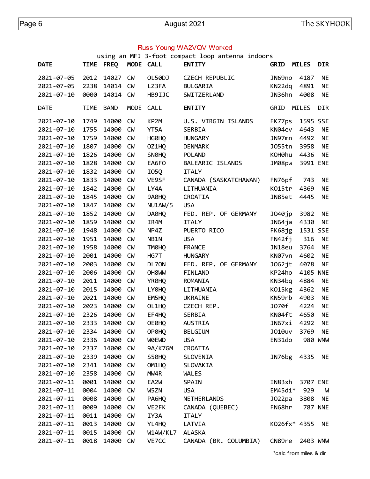#### Russ Young WA2VQV Worked

using an MFJ 3-foot compact loop antenna indoors

| <b>DATE</b>      | <b>TIME</b> | <b>FREQ</b>   | MODE CALL |                | <b>ENTITY</b>         | <b>GRID</b>  | <b>MILES</b> | <b>DIR</b>     |
|------------------|-------------|---------------|-----------|----------------|-----------------------|--------------|--------------|----------------|
| 2021-07-05       | 2012        | 14027         | <b>CM</b> | OL50DJ         | <b>CZECH REPUBLIC</b> | JN69no       | 4187         | NE             |
| 2021-07-05       | 2238        | 14014         | <b>CM</b> | LZ3FA          | <b>BULGARIA</b>       | KN22dq       | 4891         | <b>NE</b>      |
| $2021 - 07 - 10$ | 0000        | 14014         | CM        | HB9IJC         | SWITZERLAND           | JN36hn       | 4008         | <b>NE</b>      |
| <b>DATE</b>      | <b>TIME</b> | <b>BAND</b>   | MODE CALL |                | <b>ENTITY</b>         | GRID         | MILES        | <b>DIR</b>     |
| 2021-07-10       | 1749        | 14000         | <b>CM</b> | KP2M           | U.S. VIRGIN ISLANDS   | FK77ps       | 1595 SSE     |                |
| 2021-07-10       | 1755        | 14000         | <b>CM</b> | YT5A           | SERBIA                | KN04ev       | 4643         | <b>NE</b>      |
| $2021 - 07 - 10$ | 1759        | 14000         | <b>CM</b> | HG0HQ          | <b>HUNGARY</b>        | JN97mn       | 4492         | <b>NE</b>      |
| 2021-07-10       | 1807        | 14000         | <b>CM</b> | OZ1HQ          | <b>DENMARK</b>        | J055tn       | 3958         | <b>NE</b>      |
| 2021-07-10       | 1826        | 14000         | <b>CM</b> | SN0HQ          | <b>POLAND</b>         | KOH0hu       | 4436         | <b>NE</b>      |
| 2021-07-10       | 1828        | 14000         | <b>CM</b> | EA6FO          | BALEARIC ISLANDS      | JM08pw       | 3991 ENE     |                |
| 2021-07-10       | 1832        | 14000         | <b>CM</b> | I05Q           | <b>ITALY</b>          |              |              |                |
| 2021-07-10       | 1833        | 14000         | <b>CM</b> | VE9SF          | CANADA (SASKATCHAWAN) | FN76pf       | 743          | NE             |
| 2021-07-10       | 1842        | 14000         | <b>CM</b> | LY4A           | LITHUANIA             | KO15tr       | 4369         | NE             |
| 2021-07-10       | 1845        | 14000         | <b>CM</b> | 9A0HQ          | CROATIA               | JN85et       | 4445         | <b>NE</b>      |
| 2021-07-10       | 1847        | 14000         | <b>CM</b> | <b>NU1AW/5</b> | <b>USA</b>            |              |              |                |
| 2021-07-10       | 1852        | 14000         | <b>CM</b> | DA0HQ          | FED. REP. OF GERMANY  | J040jp       | 3982         | <b>NE</b>      |
| 2021-07-10       | 1859        | 14000         | <b>CM</b> | IR4M           | <b>ITALY</b>          | JN64ja 4330  |              | <b>NE</b>      |
| 2021-07-10       | 1948        | 14000         | <b>CM</b> | NP4Z           | PUERTO RICO           | FK68jg       | 1531 SSE     |                |
| 2021-07-10       | 1951        | 14000         | CM        | NB1N           | <b>USA</b>            | FN42fj       | 316          | NE             |
| 2021-07-10       | 1958        | 14000         | CM        | TM0HQ          | <b>FRANCE</b>         | JN18eu       | 3764         | <b>NE</b>      |
| 2021-07-10       | 2001        | 14000         | <b>CM</b> | HG7T           | <b>HUNGARY</b>        | KN07vn       | 4602         | <b>NE</b>      |
| 2021-07-10       | 2003        | 14000         | <b>CM</b> | DL70N          | FED. REP. OF GERMANY  | J062jt       | 4078         | <b>NE</b>      |
| 2021-07-10       | 2006        | 14000         | <b>CM</b> | OH8WW          | <b>FINLAND</b>        | KP24ho       | 4105 NNE     |                |
| 2021-07-10       | 2011        | 14000         | <b>CM</b> | YR0HQ          | ROMANIA               | KN34bq       | 4884         | <b>NE</b>      |
| 2021-07-10       | 2015        | 14000         | CM        | LY0HQ          | LITHUANIA             | K015kg       | 4362         | NE             |
| $2021 - 07 - 10$ | 2021        | 14000         | CM        | EM5HQ          | <b>UKRAINE</b>        | KN59rb       | 4903         | <b>NE</b>      |
| 2021-07-10       | 2023        | 14000         | <b>CM</b> | OL1HQ          | CZECH REP.            | J070f        | 4224         | <b>NE</b>      |
| 2021-07-10       | 2326        | 14000         | <b>CM</b> | EF4HQ          | SERBIA                | KN04ft       | 4650         | <b>NE</b>      |
| 2021-07-10       | 2333        | 14000         | CM        | OE0HQ          | <b>AUSTRIA</b>        | JN67xi       | 4292         | <b>NE</b>      |
| 2021-07-10       |             | 2334 14000 CW |           | OP0HQ          | <b>BELGIUM</b>        | J010uv       | 3769 NE      |                |
| 2021-07-10       | 2336        | 14000         | <b>CM</b> | WOEWD          | <b>USA</b>            | EN31do       |              | 980 WNW        |
| 2021-07-10       | 2337        | 14000         | <b>CM</b> | 9A/K7GM        | CROATIA               |              |              |                |
| 2021-07-10       | 2339        | 14000         | <b>CM</b> | S50HQ          | SLOVENIA              | JN76bg       | 4335         | NE             |
| 2021-07-10       | 2341        | 14000         | <b>CM</b> | OM1HQ          | SLOVAKIA              |              |              |                |
| 2021-07-10       | 2358        | 14000         | CM        | MW4R           | <b>WALES</b>          |              |              |                |
| 2021-07-11       | 0001        | 14000         | <b>CM</b> | EA2W           | <b>SPAIN</b>          | IN83xh       | 3707 ENE     |                |
| 2021-07-11       | 0004        | 14000         | <b>CM</b> | W5ZN           | <b>USA</b>            | $EM45di*$    | 929          | W              |
| 2021-07-11       | 0008        | 14000         | <b>CM</b> | PA6HQ          | NETHERLANDS           | JO22pa       | 3808         | NE             |
| 2021-07-11       | 0009        | 14000         | <b>CM</b> | VE2FK          | CANADA (QUEBEC)       | FN68hr       |              | <b>787 NNE</b> |
| 2021-07-11       | 0011        | 14000         | <b>CM</b> | IY3A           | <b>ITALY</b>          |              |              |                |
| 2021-07-11       | 0013        | 14000         | <b>CM</b> | YL4HQ          | LATVIA                | K026fx* 4355 |              | NE             |
| 2021-07-11       | 0015        | 14000         | <b>CM</b> | W1AW/KL7       | <b>ALASKA</b>         |              |              |                |
| 2021-07-11       | 0018        | 14000         | <b>CM</b> | VE7CC          | CANADA (BR. COLUMBIA) | CN89re       | 2403 WNW     |                |
|                  |             |               |           |                |                       |              |              |                |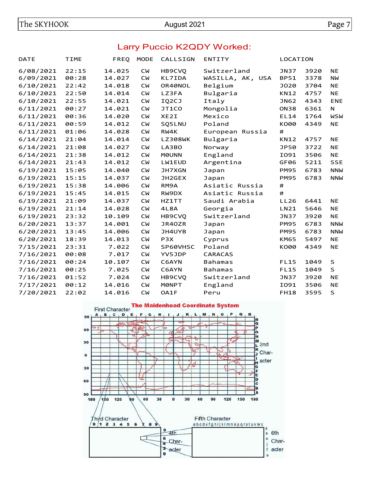#### Larry Puccio K2QDY Worked:

| <b>DATE</b> | <b>TIME</b> | FREQ   | <b>MODE</b> | CALLSIGN         | <b>ENTITY</b>    | LOCATION    |      |             |
|-------------|-------------|--------|-------------|------------------|------------------|-------------|------|-------------|
| 6/08/2021   | 22:15       | 14.025 | <b>CM</b>   | HB9CVQ           | Switzerland      | <b>JN37</b> | 3920 | <b>NE</b>   |
| 6/09/2021   | 00:28       | 14.027 | <b>CM</b>   | KL7IDA           | WASILLA, AK, USA | <b>BP51</b> | 3378 | <b>NW</b>   |
| 6/10/2021   | 22:42       | 14.018 | <b>CW</b>   | OR40NOL          | Belgium          | <b>JO20</b> | 3704 | <b>NE</b>   |
| 6/10/2021   | 22:50       | 14.014 | <b>CM</b>   | LZ3FA            | Bulgaria         | <b>KN12</b> | 4757 | <b>NE</b>   |
| 6/10/2021   | 22:55       | 14.021 | <b>CM</b>   | IQ2CJ            | Italy            | JN62        | 4343 | <b>ENE</b>  |
| 6/11/2021   | 00:27       | 14.021 | <b>CM</b>   | JT1CO            | Mongolia         | <b>ON38</b> | 6361 | N           |
| 6/11/2021   | 00:36       | 14.020 | <b>CM</b>   | XE2I             | Mexico           | <b>EL14</b> | 1764 | <b>WSW</b>  |
| 6/11/2021   | 00:59       | 14.012 | <b>CW</b>   | SQ5LNU           | Poland           | K000        | 4349 | <b>NE</b>   |
| 6/11/2021   | 01:06       | 14.028 | <b>CM</b>   | RW4K             | European Russia  | #           |      |             |
| 6/14/2021   | 21:04       | 14.014 | <b>CW</b>   | <b>LZ308WK</b>   | Bulgaria         | <b>KN12</b> | 4757 | <b>NE</b>   |
| 6/14/2021   | 21:08       | 14.027 | <b>CM</b>   | LA3BO            | Norway           | <b>JP50</b> | 3722 | <b>NE</b>   |
| 6/14/2021   | 21:38       | 14.012 | <b>CM</b>   | <b>MOUNN</b>     | England          | I091        | 3506 | <b>NE</b>   |
| 6/14/2021   | 21:43       | 14.012 | <b>CM</b>   | LW1EUD           | Argentina        | GF06        | 5211 | <b>SSE</b>  |
| 6/19/2021   | 15:05       | 14.040 | <b>CM</b>   | <b>JH7XGN</b>    | Japan            | <b>PM95</b> | 6783 | <b>NNW</b>  |
| 6/19/2021   | 15:15       | 14.037 | <b>CM</b>   | JH2GEX           | Japan            | <b>PM95</b> | 6783 | <b>NNW</b>  |
| 6/19/2021   | 15:38       | 14.006 | <b>CM</b>   | RM9A             | Asiatic Russia   | #           |      |             |
| 6/19/2021   | 15:45       | 14.015 | <b>CM</b>   | RW9DX            | Asiatic Russia   | #           |      |             |
| 6/19/2021   | 21:09       | 14.037 | <b>CM</b>   | HZ1TT            | Saudi Arabia     | LL26        | 6441 | <b>NE</b>   |
| 6/19/2021   | 21:14       | 14.028 | <b>CW</b>   | 4L8A             | Georgia          | LN21        | 5646 | <b>NE</b>   |
| 6/19/2021   | 23:32       | 10.109 | <b>CW</b>   | HB9CVQ           | Switzerland      | <b>JN37</b> | 3920 | <b>NE</b>   |
| 6/20/2021   | 13:37       | 14.001 | <b>CM</b>   | JR40ZR           | Japan            | <b>PM95</b> | 6783 | <b>NNW</b>  |
| 6/20/2021   | 13:45       | 14.006 | <b>CM</b>   | JH4UYB           | Japan            | <b>PM95</b> | 6783 | <b>NNW</b>  |
| 6/20/2021   | 18:39       | 14.013 | <b>CM</b>   | P <sub>3</sub> X | Cyprus           | <b>KM65</b> | 5497 | <b>NE</b>   |
| 7/15/2021   | 23:31       | 7.022  | <b>CW</b>   | SP60VHSC         | Poland           | K000        | 4349 | <b>NE</b>   |
| 7/16/2021   | 00:08       | 7.017  | <b>CM</b>   | YV5JDP           | <b>CARACAS</b>   |             |      |             |
| 7/16/2021   | 00:24       | 10.107 | <b>CW</b>   | C6AYN            | <b>Bahamas</b>   | <b>FL15</b> | 1049 | S           |
| 7/16/2021   | 00:25       | 7.025  | <b>CW</b>   | C6AYN            | <b>Bahamas</b>   | <b>FL15</b> | 1049 | $\mathsf S$ |
| 7/16/2021   | 01:52       | 7.024  | <b>CM</b>   | HB9CVQ           | Switzerland      | <b>JN37</b> | 3920 | <b>NE</b>   |
| 7/17/2021   | 00:12       | 14.016 | <b>CW</b>   | <b>MØNPT</b>     | England          | I091        | 3506 | <b>NE</b>   |
| 7/20/2021   | 22:02       | 14.016 | <b>CW</b>   | OA1F             | Peru             | <b>FH18</b> | 3595 | $\sf S$     |